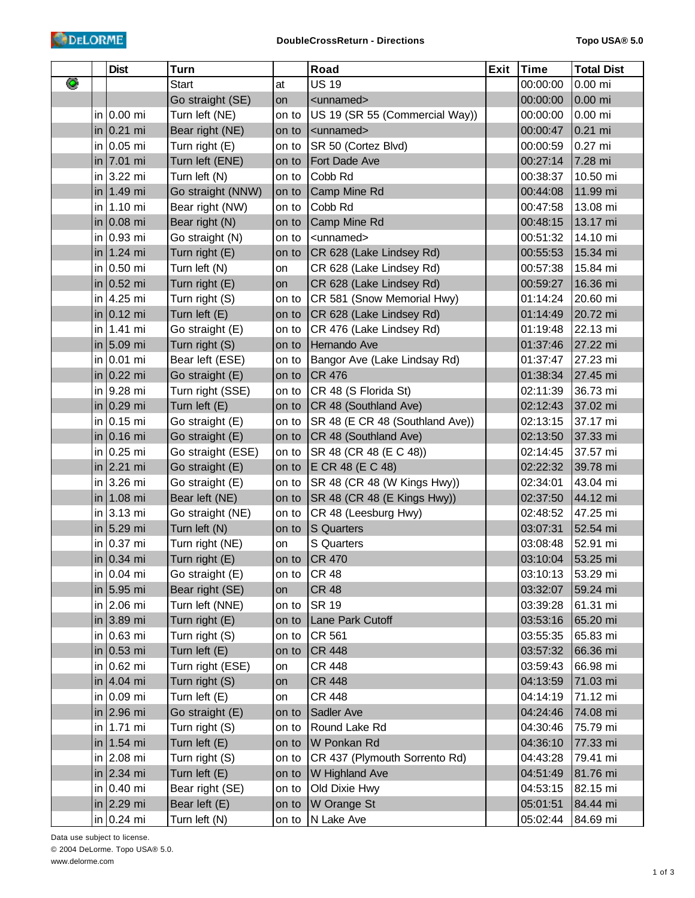|   | <b>Dist</b>    | Turn              |       | Road                            | Exit | Time     | <b>Total Dist</b> |
|---|----------------|-------------------|-------|---------------------------------|------|----------|-------------------|
| ◉ |                | <b>Start</b>      | at    | <b>US 19</b>                    |      | 00:00:00 | 0.00 mi           |
|   |                | Go straight (SE)  | on    | <unnamed></unnamed>             |      | 00:00:00 | $0.00$ mi         |
|   | in $0.00$ mi   | Turn left (NE)    | on to | US 19 (SR 55 (Commercial Way))  |      | 00:00:00 | $0.00$ mi         |
|   | in $0.21$ mi   | Bear right (NE)   | on to | <unnamed></unnamed>             |      | 00:00:47 | 0.21 mi           |
|   | in $0.05$ mi   | Turn right (E)    | on to | SR 50 (Cortez Blvd)             |      | 00:00:59 | 0.27 mi           |
|   | in $7.01$ mi   | Turn left (ENE)   | on to | Fort Dade Ave                   |      | 00:27:14 | 7.28 mi           |
|   | in $3.22$ mi   | Turn left (N)     | on to | Cobb Rd                         |      | 00:38:37 | 10.50 mi          |
|   | in $1.49$ mi   | Go straight (NNW) | on to | Camp Mine Rd                    |      | 00:44:08 | 11.99 mi          |
|   | $in$ 1.10 mi   | Bear right (NW)   | on to | Cobb Rd                         |      | 00:47:58 | 13.08 mi          |
|   | in $0.08$ mi   | Bear right (N)    | on to | Camp Mine Rd                    |      | 00:48:15 | 13.17 mi          |
|   | in $0.93$ mi   | Go straight (N)   | on to | <unnamed></unnamed>             |      | 00:51:32 | 14.10 mi          |
|   | in   $1.24$ mi | Turn right (E)    | on to | CR 628 (Lake Lindsey Rd)        |      | 00:55:53 | 15.34 mi          |
|   | in $0.50$ mi   | Turn left (N)     | on    | CR 628 (Lake Lindsey Rd)        |      | 00:57:38 | 15.84 mi          |
|   | in $0.52$ mi   | Turn right (E)    | on    | CR 628 (Lake Lindsey Rd)        |      | 00:59:27 | 16.36 mi          |
|   | in 4.25 mi     | Turn right (S)    | on to | CR 581 (Snow Memorial Hwy)      |      | 01:14:24 | 20.60 mi          |
|   | in $0.12$ mi   | Turn left (E)     | on to | CR 628 (Lake Lindsey Rd)        |      | 01:14:49 | 20.72 mi          |
|   | in 1.41 mi     | Go straight (E)   | on to | CR 476 (Lake Lindsey Rd)        |      | 01:19:48 | 22.13 mi          |
|   | in $5.09$ mi   | Turn right (S)    | on to | Hernando Ave                    |      | 01:37:46 | 27.22 mi          |
|   | in $0.01$ mi   | Bear left (ESE)   | on to | Bangor Ave (Lake Lindsay Rd)    |      | 01:37:47 | 27.23 mi          |
|   | in $0.22$ mi   | Go straight (E)   | on to | <b>CR 476</b>                   |      | 01:38:34 | 27.45 mi          |
|   | in 9.28 mi     | Turn right (SSE)  | on to | CR 48 (S Florida St)            |      | 02:11:39 | 36.73 mi          |
|   | in $0.29$ mi   | Turn left (E)     | on to | CR 48 (Southland Ave)           |      | 02:12:43 | 37.02 mi          |
|   | in $0.15$ mi   | Go straight (E)   | on to | SR 48 (E CR 48 (Southland Ave)) |      | 02:13:15 | 37.17 mi          |
|   | in $0.16$ mi   | Go straight (E)   | on to | CR 48 (Southland Ave)           |      | 02:13:50 | 37.33 mi          |
|   | in $0.25$ mi   | Go straight (ESE) | on to | SR 48 (CR 48 (E C 48))          |      | 02:14:45 | 37.57 mi          |
|   | in $2.21$ mi   | Go straight (E)   | on to | E CR 48 (E C 48)                |      | 02:22:32 | 39.78 mi          |
|   | in $3.26$ mi   | Go straight (E)   | on to | SR 48 (CR 48 (W Kings Hwy))     |      | 02:34:01 | 43.04 mi          |
|   | in   $1.08$ mi | Bear left (NE)    | on to | SR 48 (CR 48 (E Kings Hwy))     |      | 02:37:50 | 44.12 mi          |
|   | in $3.13$ mi   | Go straight (NE)  | on to | CR 48 (Leesburg Hwy)            |      | 02:48:52 | 47.25 mi          |
|   | in $5.29$ mi   | Turn left (N)     | on to | <b>S</b> Quarters               |      | 03:07:31 | 52.54 mi          |
|   | in $0.37$ mi   | Turn right (NE)   | on    | S Quarters                      |      | 03:08:48 | 52.91 mi          |
|   | in $0.34$ mi   | Turn right (E)    | on to | <b>CR 470</b>                   |      | 03:10:04 | 53.25 mi          |
|   | in $0.04$ mi   | Go straight (E)   | on to | <b>CR 48</b>                    |      | 03:10:13 | 53.29 mi          |
|   | in $5.95$ mi   | Bear right (SE)   | on    | <b>CR 48</b>                    |      | 03:32:07 | 59.24 mi          |
|   | in $2.06$ mi   | Turn left (NNE)   | on to | <b>SR 19</b>                    |      | 03:39:28 | 61.31 mi          |
|   | in 3.89 mi     | Turn right (E)    | on to | Lane Park Cutoff                |      | 03:53:16 | 65.20 mi          |
|   | $in$ 0.63 mi   | Turn right (S)    | on to | CR 561                          |      | 03:55:35 | 65.83 mi          |
|   | in $0.53$ mi   | Turn left (E)     | on to | <b>CR 448</b>                   |      | 03:57:32 | 66.36 mi          |
|   | in $0.62$ mi   | Turn right (ESE)  | on    | <b>CR 448</b>                   |      | 03:59:43 | 66.98 mi          |
|   | in $4.04$ mi   | Turn right (S)    | on    | <b>CR 448</b>                   |      | 04:13:59 | 71.03 mi          |
|   | in $0.09$ mi   | Turn left (E)     | on    | <b>CR 448</b>                   |      | 04:14:19 | 71.12 mi          |
|   | in 2.96 mi     | Go straight (E)   | on to | Sadler Ave                      |      | 04:24:46 | 74.08 mi          |
|   | in 1.71 mi     | Turn right (S)    | on to | Round Lake Rd                   |      | 04:30:46 | 75.79 mi          |
|   | in   1.54 mi   | Turn left (E)     | on to | W Ponkan Rd                     |      | 04:36:10 | 77.33 mi          |
|   | in $2.08$ mi   | Turn right (S)    | on to | CR 437 (Plymouth Sorrento Rd)   |      | 04:43:28 | 79.41 mi          |
|   | in 2.34 mi     | Turn left (E)     | on to | W Highland Ave                  |      | 04:51:49 | 81.76 mi          |
|   | in $0.40$ mi   | Bear right (SE)   | on to | Old Dixie Hwy                   |      | 04:53:15 | 82.15 mi          |
|   | in $ 2.29$ mi  | Bear left (E)     | on to | W Orange St                     |      | 05:01:51 | 84.44 mi          |
|   | in $0.24$ mi   | Turn left (N)     | on to | N Lake Ave                      |      | 05:02:44 | 84.69 mi          |

Data use subject to license. © 2004 DeLorme. Topo USA® 5.0. www.delorme.com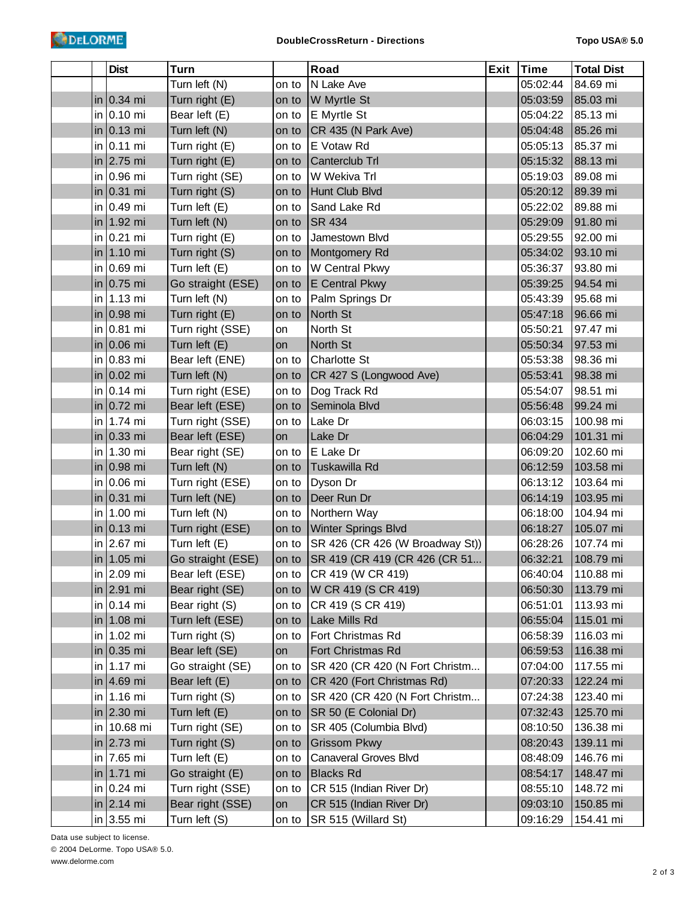|  | <b>Dist</b>              | <b>Turn</b>       |       | Road                            | <b>Exit</b> | Time     | <b>Total Dist</b> |
|--|--------------------------|-------------------|-------|---------------------------------|-------------|----------|-------------------|
|  |                          | Turn left (N)     | on to | N Lake Ave                      |             | 05:02:44 | 84.69 mi          |
|  | in $0.34$ mi             | Turn right (E)    | on to | W Myrtle St                     |             | 05:03:59 | 85.03 mi          |
|  | in $0.10$ mi             | Bear left (E)     | on to | E Myrtle St                     |             | 05:04:22 | 85.13 mi          |
|  | in $\vert 0.13 \vert$ mi | Turn left (N)     | on to | CR 435 (N Park Ave)             |             | 05:04:48 | 85.26 mi          |
|  | $in$ 0.11 mi             | Turn right (E)    | on to | E Votaw Rd                      |             | 05:05:13 | 85.37 mi          |
|  | in $2.75$ mi             | Turn right (E)    | on to | Canterclub Trl                  |             | 05:15:32 | 88.13 mi          |
|  | in 0.96 mi               | Turn right (SE)   | on to | W Wekiva Trl                    |             | 05:19:03 | 89.08 mi          |
|  | in $0.31$ mi             | Turn right (S)    | on to | Hunt Club Blvd                  |             | 05:20:12 | 89.39 mi          |
|  | in $0.49$ mi             | Turn left (E)     | on to | Sand Lake Rd                    |             | 05:22:02 | 89.88 mi          |
|  | in $1.92$ mi             | Turn left (N)     | on to | <b>SR 434</b>                   |             | 05:29:09 | 91.80 mi          |
|  | in $0.21$ mi             | Turn right (E)    | on to | Jamestown Blvd                  |             | 05:29:55 | 92.00 mi          |
|  | in   1.10 mi             | Turn right (S)    | on to | Montgomery Rd                   |             | 05:34:02 | 93.10 mi          |
|  | in $0.69$ mi             | Turn left (E)     | on to | W Central Pkwy                  |             | 05:36:37 | 93.80 mi          |
|  | in $0.75$ mi             | Go straight (ESE) | on to | E Central Pkwy                  |             | 05:39:25 | 94.54 mi          |
|  | in 1.13 mi               | Turn left (N)     | on to | Palm Springs Dr                 |             | 05:43:39 | 95.68 mi          |
|  | in $0.98$ mi             | Turn right (E)    | on to | North St                        |             | 05:47:18 | 96.66 mi          |
|  | $in$ 0.81 mi             | Turn right (SSE)  | on    | North St                        |             | 05:50:21 | 97.47 mi          |
|  | in $0.06$ mi             | Turn left (E)     | on    | North St                        |             | 05:50:34 | 97.53 mi          |
|  | in $0.83$ mi             | Bear left (ENE)   | on to | <b>Charlotte St</b>             |             | 05:53:38 | 98.36 mi          |
|  | in $0.02$ mi             | Turn left (N)     | on to | CR 427 S (Longwood Ave)         |             | 05:53:41 | 98.38 mi          |
|  | in $0.14$ mi             | Turn right (ESE)  | on to | Dog Track Rd                    |             | 05:54:07 | 98.51 mi          |
|  | in $0.72$ mi             | Bear left (ESE)   | on to | Seminola Blvd                   |             | 05:56:48 | 99.24 mi          |
|  | in 1.74 mi               | Turn right (SSE)  | on to | Lake Dr                         |             | 06:03:15 | 100.98 mi         |
|  | in $0.33$ mi             | Bear left (ESE)   | on    | Lake Dr                         |             | 06:04:29 | 101.31 mi         |
|  | in 1.30 mi               | Bear right (SE)   | on to | E Lake Dr                       |             | 06:09:20 | 102.60 mi         |
|  | in $0.98$ mi             | Turn left (N)     | on to | Tuskawilla Rd                   |             | 06:12:59 | 103.58 mi         |
|  | in $0.06$ mi             | Turn right (ESE)  | on to | Dyson Dr                        |             | 06:13:12 | 103.64 mi         |
|  | in $0.31$ mi             | Turn left (NE)    | on to | Deer Run Dr                     |             | 06:14:19 | 103.95 mi         |
|  | in 1.00 mi               | Turn left (N)     | on to | Northern Way                    |             | 06:18:00 | 104.94 mi         |
|  | in $0.13$ mi             | Turn right (ESE)  | on to | <b>Winter Springs Blvd</b>      |             | 06:18:27 | 105.07 mi         |
|  | in $2.67$ mi             | Turn left (E)     | on to | SR 426 (CR 426 (W Broadway St)) |             | 06:28:26 | 107.74 mi         |
|  | in $1.05$ mi             | Go straight (ESE) | on to | SR 419 (CR 419 (CR 426 (CR 51   |             | 06:32:21 | 108.79 mi         |
|  | in $2.09$ mi             | Bear left (ESE)   | on to | CR 419 (W CR 419)               |             | 06:40:04 | 110.88 mi         |
|  | in $2.91$ mi             | Bear right (SE)   | on to | W CR 419 (S CR 419)             |             | 06:50:30 | 113.79 mi         |
|  | in $0.14$ mi             | Bear right (S)    | on to | CR 419 (S CR 419)               |             | 06:51:01 | 113.93 mi         |
|  | in   1.08 mi             | Turn left (ESE)   | on to | Lake Mills Rd                   |             | 06:55:04 | 115.01 mi         |
|  | in 1.02 mi               | Turn right (S)    | on to | Fort Christmas Rd               |             | 06:58:39 | 116.03 mi         |
|  | in $0.35$ mi             | Bear left (SE)    | on    | Fort Christmas Rd               |             | 06:59:53 | 116.38 mi         |
|  | $in$ 1.17 mi             | Go straight (SE)  | on to | SR 420 (CR 420 (N Fort Christm  |             | 07:04:00 | 117.55 mi         |
|  | in $ 4.69$ mi            | Bear left (E)     | on to | CR 420 (Fort Christmas Rd)      |             | 07:20:33 | 122.24 mi         |
|  | in $1.16$ mi             | Turn right (S)    | on to | SR 420 (CR 420 (N Fort Christm  |             | 07:24:38 | 123.40 mi         |
|  | in $2.30$ mi             | Turn left (E)     | on to | SR 50 (E Colonial Dr)           |             | 07:32:43 | 125.70 mi         |
|  | in 10.68 mi              | Turn right (SE)   | on to | SR 405 (Columbia Blvd)          |             | 08:10:50 | 136.38 mi         |
|  | in $2.73$ mi             | Turn right (S)    | on to | <b>Grissom Pkwy</b>             |             | 08:20:43 | 139.11 mi         |
|  | in 7.65 mi               | Turn left (E)     | on to | Canaveral Groves Blvd           |             | 08:48:09 | 146.76 mi         |
|  | in   1.71 mi             | Go straight (E)   | on to | <b>Blacks Rd</b>                |             | 08:54:17 | 148.47 mi         |
|  | in $0.24$ mi             | Turn right (SSE)  | on to | CR 515 (Indian River Dr)        |             | 08:55:10 | 148.72 mi         |
|  | in $2.14$ mi             | Bear right (SSE)  | on    | CR 515 (Indian River Dr)        |             | 09:03:10 | 150.85 mi         |
|  | in $3.55$ mi             | Turn left (S)     | on to | SR 515 (Willard St)             |             | 09:16:29 | 154.41 mi         |

Data use subject to license. © 2004 DeLorme. Topo USA® 5.0. www.delorme.com